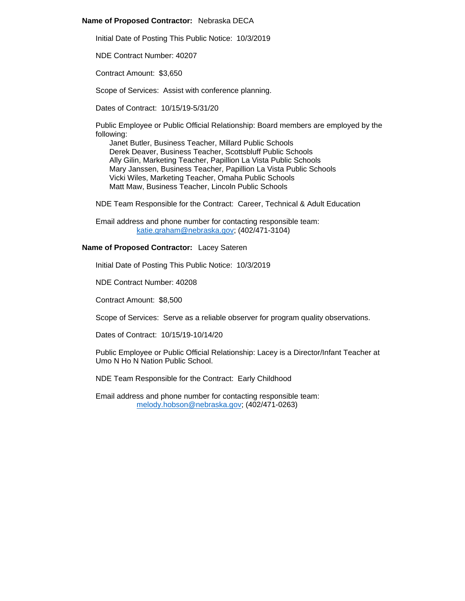## **Name of Proposed Contractor:** Nebraska DECA

Initial Date of Posting This Public Notice: 10/3/2019

NDE Contract Number: 40207

Contract Amount: \$3,650

Scope of Services: Assist with conference planning.

Dates of Contract: 10/15/19-5/31/20

Public Employee or Public Official Relationship: Board members are employed by the following:

Janet Butler, Business Teacher, Millard Public Schools Derek Deaver, Business Teacher, Scottsbluff Public Schools Ally Gilin, Marketing Teacher, Papillion La Vista Public Schools Mary Janssen, Business Teacher, Papillion La Vista Public Schools Vicki Wiles, Marketing Teacher, Omaha Public Schools Matt Maw, Business Teacher, Lincoln Public Schools

NDE Team Responsible for the Contract: Career, Technical & Adult Education

Email address and phone number for contacting responsible team: [katie.graham@nebraska.gov;](mailto:katie.graham@nebraska.gov) (402/471-3104)

## **Name of Proposed Contractor:** Lacey Sateren

Initial Date of Posting This Public Notice: 10/3/2019

NDE Contract Number: 40208

Contract Amount: \$8,500

Scope of Services: Serve as a reliable observer for program quality observations.

Dates of Contract: 10/15/19-10/14/20

Public Employee or Public Official Relationship: Lacey is a Director/Infant Teacher at Umo N Ho N Nation Public School.

NDE Team Responsible for the Contract: Early Childhood

Email address and phone number for contacting responsible team: [melody.hobson@nebraska.gov;](mailto:melody.hobson@nebraska.gov) (402/471-0263)